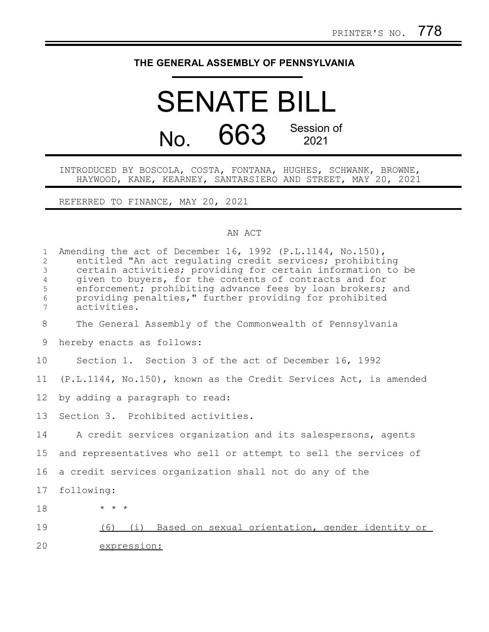## **THE GENERAL ASSEMBLY OF PENNSYLVANIA**

## SENATE BILL No. 663 Session of 2021

## INTRODUCED BY BOSCOLA, COSTA, FONTANA, HUGHES, SCHWANK, BROWNE, HAYWOOD, KANE, KEARNEY, SANTARSIERO AND STREET, MAY 20, 2021

REFERRED TO FINANCE, MAY 20, 2021

## AN ACT

| $\mathbf{1}$<br>$\overline{2}$<br>$\mathfrak{Z}$<br>$\overline{4}$<br>5<br>6<br>$7\phantom{.}$ | Amending the act of December 16, 1992 (P.L.1144, No.150),<br>entitled "An act requlating credit services; prohibiting<br>certain activities; providing for certain information to be<br>given to buyers, for the contents of contracts and for<br>enforcement; prohibiting advance fees by loan brokers; and<br>providing penalties," further providing for prohibited<br>activities. |
|------------------------------------------------------------------------------------------------|---------------------------------------------------------------------------------------------------------------------------------------------------------------------------------------------------------------------------------------------------------------------------------------------------------------------------------------------------------------------------------------|
| 8                                                                                              | The General Assembly of the Commonwealth of Pennsylvania                                                                                                                                                                                                                                                                                                                              |
| 9                                                                                              | hereby enacts as follows:                                                                                                                                                                                                                                                                                                                                                             |
| 10                                                                                             | Section 1. Section 3 of the act of December 16, 1992                                                                                                                                                                                                                                                                                                                                  |
| 11                                                                                             | (P.L.1144, No.150), known as the Credit Services Act, is amended                                                                                                                                                                                                                                                                                                                      |
| 12                                                                                             | by adding a paragraph to read:                                                                                                                                                                                                                                                                                                                                                        |
| 13                                                                                             | Section 3. Prohibited activities.                                                                                                                                                                                                                                                                                                                                                     |
| 14                                                                                             | A credit services organization and its salespersons, agents                                                                                                                                                                                                                                                                                                                           |
| 15                                                                                             | and representatives who sell or attempt to sell the services of                                                                                                                                                                                                                                                                                                                       |
| 16                                                                                             | a credit services organization shall not do any of the                                                                                                                                                                                                                                                                                                                                |
| 17                                                                                             | following:                                                                                                                                                                                                                                                                                                                                                                            |
| 18                                                                                             | $\star$ $\star$ $\star$                                                                                                                                                                                                                                                                                                                                                               |
| 19                                                                                             | (i) Based on sexual orientation, gender identity or<br>(6)                                                                                                                                                                                                                                                                                                                            |
| 20                                                                                             | expression:                                                                                                                                                                                                                                                                                                                                                                           |